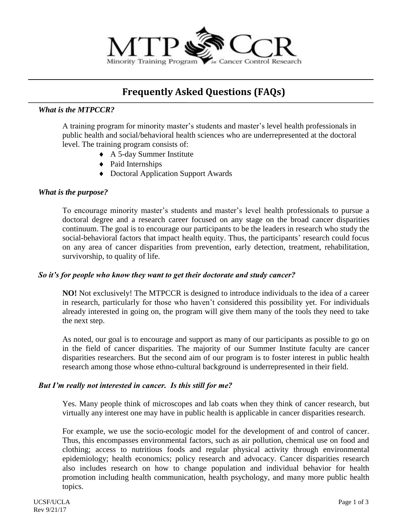

# **Frequently Asked Questions (FAQs)**

# *What is the MTPCCR?*

A training program for minority master's students and master's level health professionals in public health and social/behavioral health sciences who are underrepresented at the doctoral level. The training program consists of:

- A 5-day Summer Institute
- $\triangleleft$  Paid Internships
- Doctoral Application Support Awards

## *What is the purpose?*

To encourage minority master's students and master's level health professionals to pursue a doctoral degree and a research career focused on any stage on the broad cancer disparities continuum. The goal is to encourage our participants to be the leaders in research who study the social-behavioral factors that impact health equity. Thus, the participants' research could focus on any area of cancer disparities from prevention, early detection, treatment, rehabilitation, survivorship, to quality of life.

## *So it's for people who know they want to get their doctorate and study cancer?*

**NO!** Not exclusively! The MTPCCR is designed to introduce individuals to the idea of a career in research, particularly for those who haven't considered this possibility yet. For individuals already interested in going on, the program will give them many of the tools they need to take the next step.

As noted, our goal is to encourage and support as many of our participants as possible to go on in the field of cancer disparities. The majority of our Summer Institute faculty are cancer disparities researchers. But the second aim of our program is to foster interest in public health research among those whose ethno-cultural background is underrepresented in their field.

## *But I'm really not interested in cancer. Is this still for me?*

Yes. Many people think of microscopes and lab coats when they think of cancer research, but virtually any interest one may have in public health is applicable in cancer disparities research.

For example, we use the socio-ecologic model for the development of and control of cancer. Thus, this encompasses environmental factors, such as air pollution, chemical use on food and clothing; access to nutritious foods and regular physical activity through environmental epidemiology; health economics; policy research and advocacy. Cancer disparities research also includes research on how to change population and individual behavior for health promotion including health communication, health psychology, and many more public health topics.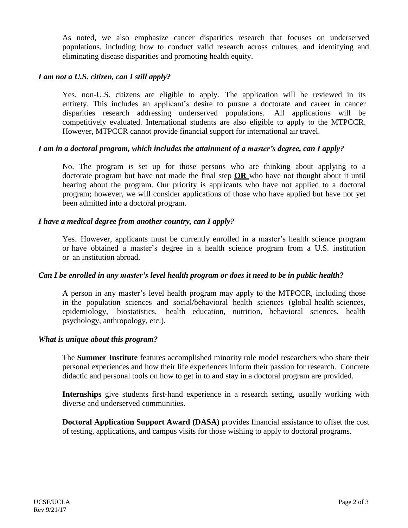As noted, we also emphasize cancer disparities research that focuses on underserved populations, including how to conduct valid research across cultures, and identifying and eliminating disease disparities and promoting health equity.

## *I am not a U.S. citizen, can I still apply?*

Yes, non-U.S. citizens are eligible to apply. The application will be reviewed in its entirety. This includes an applicant's desire to pursue a doctorate and career in cancer disparities research addressing underserved populations. All applications will be competitively evaluated. International students are also eligible to apply to the MTPCCR. However, MTPCCR cannot provide financial support for international air travel.

## *I am in a doctoral program, which includes the attainment of a master's degree, can I apply?*

No. The program is set up for those persons who are thinking about applying to a doctorate program but have not made the final step **OR** who have not thought about it until hearing about the program. Our priority is applicants who have not applied to a doctoral program; however, we will consider applications of those who have applied but have not yet been admitted into a doctoral program.

#### *I have a medical degree from another country, can I apply?*

Yes. However, applicants must be currently enrolled in a master's health science program or have obtained a master's degree in a health science program from a U.S. institution or an institution abroad.

#### Can I be enrolled in any master's level health program or does it need to be in public health?

A person in any master's level health program may apply to the MTPCCR, including those in the population sciences and social/behavioral health sciences (global health sciences, epidemiology, biostatistics, health education, nutrition, behavioral sciences, health psychology, anthropology, etc.).

#### *What is unique about this program?*

The **Summer Institute** features accomplished minority role model researchers who share their personal experiences and how their life experiences inform their passion for research. Concrete didactic and personal tools on how to get in to and stay in a doctoral program are provided.

**Internships** give students first-hand experience in a research setting, usually working with diverse and underserved communities.

**Doctoral Application Support Award (DASA)** provides financial assistance to offset the cost of testing, applications, and campus visits for those wishing to apply to doctoral programs.